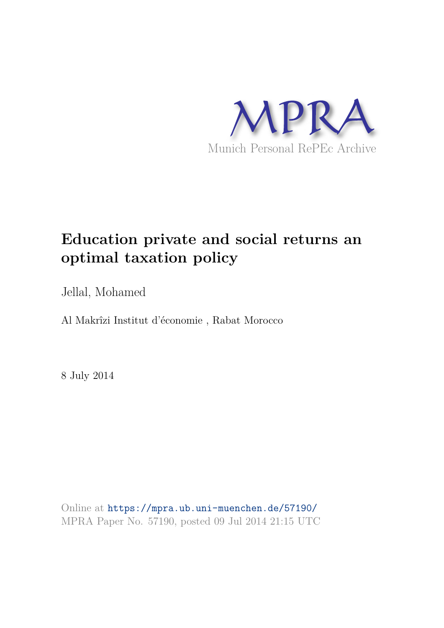

# **Education private and social returns an optimal taxation policy**

Jellal, Mohamed

Al Makrîzi Institut d'économie , Rabat Morocco

8 July 2014

Online at https://mpra.ub.uni-muenchen.de/57190/ MPRA Paper No. 57190, posted 09 Jul 2014 21:15 UTC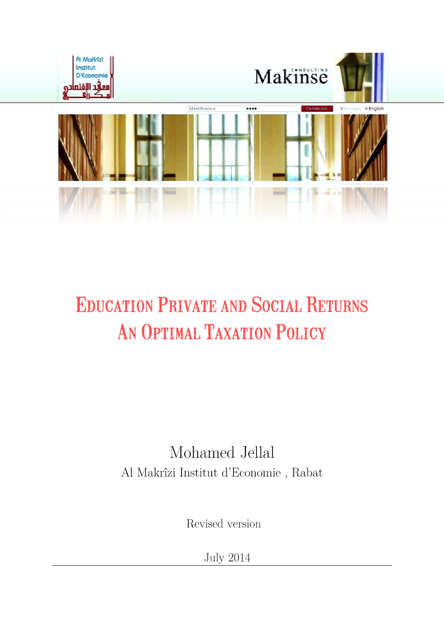

# **EDUCATION PRIVATE AND SOCIAL RETURNS** AN OPTIMAL TAXATION POLICY

# Mohamed Jellal Al Makrîzi Institut d'Economie , Rabat

Revised version

**July 2014**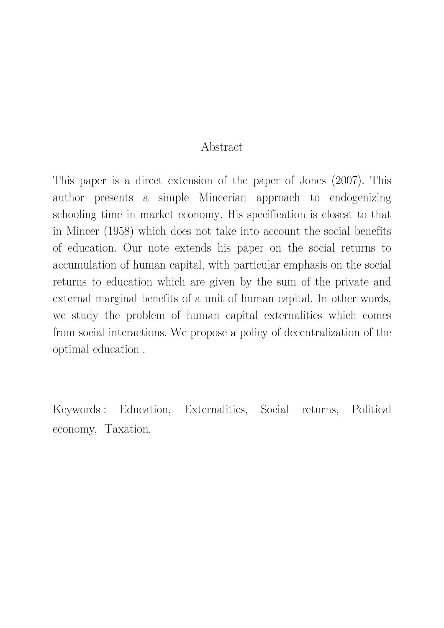#### Abstract

This paper is a direct extension of the paper of Jones (2007). This author presents a simple Mincerian approach to endogenizing schooling time in market economy. His specification is closest to that in Mincer (1958) which does not take into account the social benefits of education. Our note extends his paper on the social returns to accumulation of human capital, with particular emphasis on the social returns to education which are given by the sum of the private and external marginal benefits of a unit of human capital. In other words, we study the problem of human capital externalities which comes from social interactions. We propose a policy of decentralization of the optimal education.

Keywords : Education, Externalities, Social Political returns, economy, Taxation.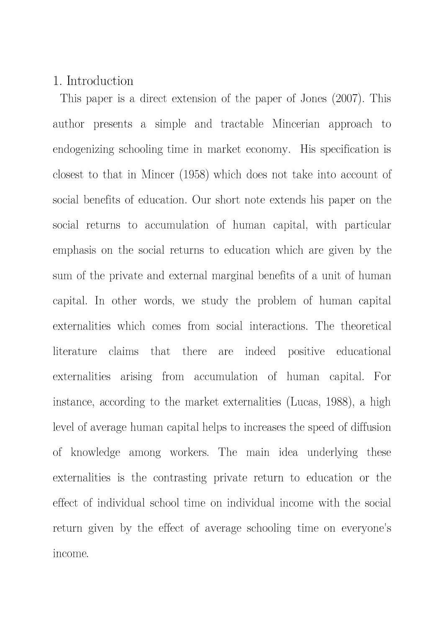#### 1. Introduction

This paper is a direct extension of the paper of Jones (2007). This author presents a simple and tractable Mincerian approach to endogenizing schooling time in market economy. His specification is closest to that in Mincer (1958) which does not take into account of social benefits of education. Our short note extends his paper on the social returns to accumulation of human capital, with particular emphasis on the social returns to education which are given by the sum of the private and external marginal benefits of a unit of human capital. In other words, we study the problem of human capital externalities which comes from social interactions. The theoretical literature there claims that indeed positive educational are externalities arising from accumulation of human capital. For instance, according to the market externalities (Lucas, 1988), a high level of average human capital helps to increases the speed of diffusion of knowledge among workers. The main idea underlying these externalities is the contrasting private return to education or the effect of individual school time on individual income with the social return given by the effect of average schooling time on everyone's income.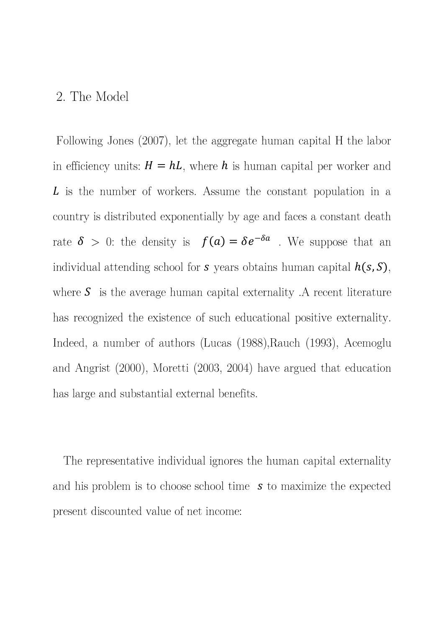#### 2. The Model

Following Jones (2007), let the aggregate human capital H the labor in efficiency units:  $H = hL$ , where h is human capital per worker and L is the number of workers. Assume the constant population in a country is distributed exponentially by age and faces a constant death rate  $\delta$  > 0: the density is  $f(a) = \delta e^{-\delta a}$ . We suppose that an individual attending school for  $s$  years obtains human capital  $h(s, S)$ , where  $S$  is the average human capital externality. A recent literature has recognized the existence of such educational positive externality. Indeed, a number of authors (Lucas (1988), Rauch (1993), Acemoglu and Angrist  $(2000)$ , Moretti  $(2003, 2004)$  have argued that education has large and substantial external benefits.

The representative individual ignores the human capital externality and his problem is to choose school time  $s$  to maximize the expected present discounted value of net income: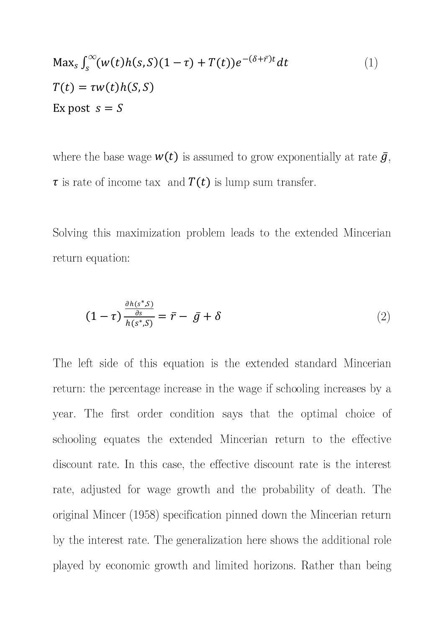$$
\begin{aligned} \text{Max}_s \int_s^{\infty} (w(t)h(s, S)(1 - \tau) + T(t))e^{-(\delta + \bar{r})t} dt \\ T(t) &= \tau w(t)h(S, S) \\ \text{Ex post } s &= S \end{aligned} \tag{1}
$$

where the base wage  $w(t)$  is assumed to grow exponentially at rate  $\bar{g}$ ,  $\tau$  is rate of income tax and  $T(t)$  is lump sum transfer.

Solving this maximization problem leads to the extended Mincerian return equation:

$$
(1 - \tau) \frac{\frac{\partial h(s^*, S)}{\partial s}}{h(s^*, S)} = \bar{r} - \bar{g} + \delta \tag{2}
$$

The left side of this equation is the extended standard Mincerian return: the percentage increase in the wage if schooling increases by a year. The first order condition says that the optimal choice of schooling equates the extended Mincerian return to the effective discount rate. In this case, the effective discount rate is the interest rate, adjusted for wage growth and the probability of death. The original Mincer (1958) specification pinned down the Mincerian return by the interest rate. The generalization here shows the additional role played by economic growth and limited horizons. Rather than being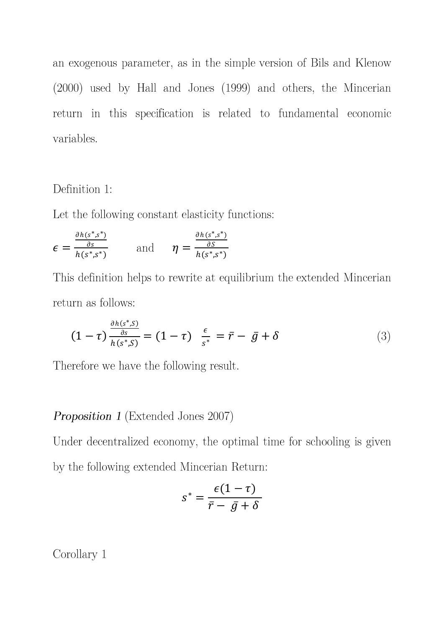an exogenous parameter, as in the simple version of Bils and Klenow  $(2000)$  used by Hall and Jones  $(1999)$  and others, the Mincerian return in this specification is related to fundamental economic variables.

#### Definition 1:

Let the following constant elasticity functions:

$$
\epsilon = \frac{\frac{\partial h(s^*, s^*)}{\partial s}}{h(s^*, s^*)} \quad \text{and} \quad \eta = \frac{\frac{\partial h(s^*, s^*)}{\partial S}}{h(s^*, s^*)}
$$

This definition helps to rewrite at equilibrium the extended Mincerian return as follows:

$$
(1 - \tau) \frac{\frac{\partial h(s^*, S)}{\partial s}}{h(s^*, S)} = (1 - \tau) \frac{\epsilon}{s^*} = \bar{r} - \bar{g} + \delta
$$
\n(3)

Therefore we have the following result.

#### **Proposition 1** (Extended Jones 2007)

Under decentralized economy, the optimal time for schooling is given by the following extended Mincerian Return:

$$
s^* = \frac{\epsilon(1-\tau)}{\bar{r} - \bar{g} + \delta}
$$

Corollary 1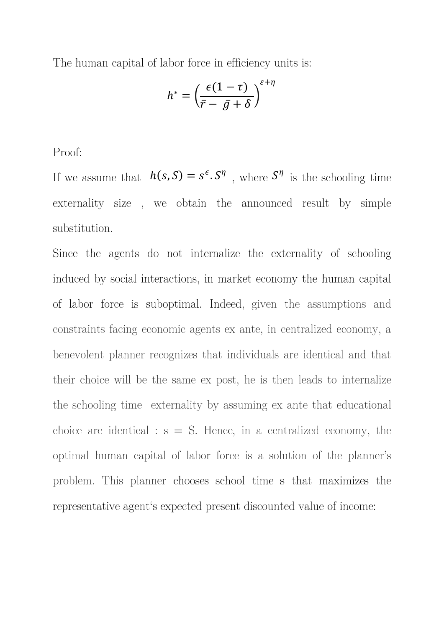The human capital of labor force in efficiency units is:

$$
h^* = \left(\frac{\epsilon(1-\tau)}{\bar{r}-\bar{g}+\delta}\right)^{\epsilon+\eta}
$$

Proof:

If we assume that  $h(s, S) = s^{\epsilon} S^{\eta}$ , where  $S^{\eta}$  is the schooling time externality size, we obtain the announced result by simple substitution.

Since the agents do not internalize the externality of schooling induced by social interactions, in market economy the human capital of labor force is suboptimal. Indeed, given the assumptions and constraints facing economic agents ex ante, in centralized economy, a benevolent planner recognizes that individuals are identical and that their choice will be the same ex post, he is then leads to internalize the schooling time externality by assuming ex ante that educational choice are identical :  $s = S$ . Hence, in a centralized economy, the optimal human capital of labor force is a solution of the planner's problem. This planner chooses school time s that maximizes the representative agent's expected present discounted value of income: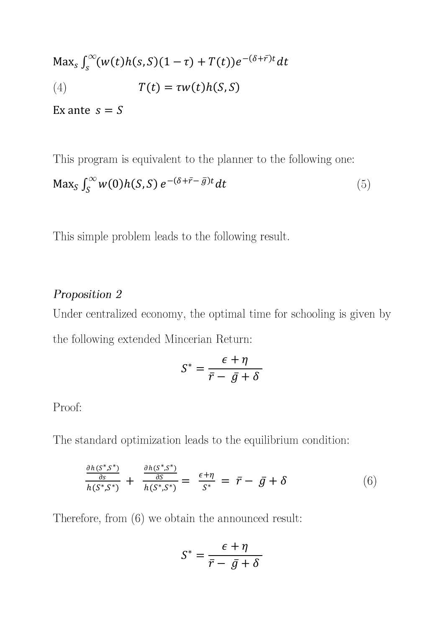Max<sub>s</sub>  $\int_{s}^{\infty} (w(t)h(s, S)(1 - \tau) + T(t))e^{-(\delta + \bar{r})t} dt$  $T(t) = \tau w(t) h(S, S)$  $(4)$ 

Ex ante  $s = S$ 

This program is equivalent to the planner to the following one:

$$
\text{Max}_{S} \int_{S}^{\infty} w(0)h(S, S) e^{-(\delta + \bar{r} - \bar{g})t} dt \tag{5}
$$

This simple problem leads to the following result.

### Proposition 2

Under centralized economy, the optimal time for schooling is given by the following extended Mincerian Return:

$$
S^* = \frac{\epsilon + \eta}{\bar{r} - \bar{g} + \delta}
$$

## Proof:

The standard optimization leads to the equilibrium condition:

$$
\frac{\frac{\partial h(S^*,S^*)}{\partial s}}{h(S^*,S^*)} + \frac{\frac{\partial h(S^*,S^*)}{\partial S}}{h(S^*,S^*)} = \frac{\epsilon + \eta}{S^*} = \bar{r} - \bar{g} + \delta \tag{6}
$$

Therefore, from  $(6)$  we obtain the announced result:

$$
S^* = \frac{\epsilon + \eta}{\bar{r} - \bar{g} + \delta}
$$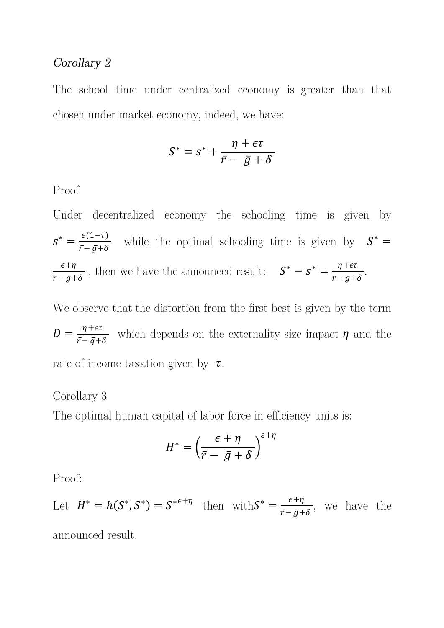#### Corollary 2

The school time under centralized economy is greater than that chosen under market economy, indeed, we have:

$$
S^* = s^* + \frac{\eta + \epsilon \tau}{\bar{r} - \bar{g} + \delta}
$$

Proof

Under decentralized economy the schooling time is given by  $s^* = \frac{\epsilon(1-\tau)}{\bar{r}-\bar{q}+\delta}$  while the optimal schooling time is given by  $S^* =$  $\frac{\epsilon + \eta}{\bar{r} - \bar{g} + \delta}$ , then we have the announced result:  $S^* - S^* = \frac{\eta + \epsilon \tau}{\bar{r} - \bar{g} + \delta}$ .

We observe that the distortion from the first best is given by the term  $D = \frac{\eta + \epsilon \tau}{\bar{r} - \bar{q} + \delta}$  which depends on the externality size impact  $\eta$  and the rate of income taxation given by  $\tau$ .

#### Corollary 3

The optimal human capital of labor force in efficiency units is:

$$
H^* = \left(\frac{\epsilon + \eta}{\bar{r} - \bar{g} + \delta}\right)^{\epsilon + \eta}
$$

Proof:

Let  $H^* = h(S^*, S^*) = S^{*\epsilon + \eta}$  then with  $S^* = \frac{\epsilon + \eta}{\bar{r} - \bar{g} + \delta}$ , we have the

announced result.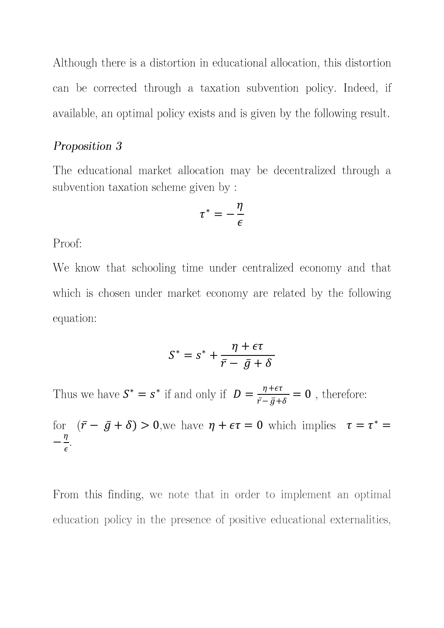Although there is a distortion in educational allocation, this distortion can be corrected through a taxation subvention policy. Indeed, if available, an optimal policy exists and is given by the following result.

#### Proposition 3

The educational market allocation may be decentralized through a subvention taxation scheme given by:

$$
\tau^*=-\frac{\eta}{\epsilon}
$$

Proof:

We know that schooling time under centralized economy and that which is chosen under market economy are related by the following equation:

$$
S^* = s^* + \frac{\eta + \epsilon \tau}{\bar{r} - \bar{g} + \delta}
$$

Thus we have  $S^* = s^*$  if and only if  $D = \frac{\eta + \epsilon \tau}{\bar{r} - \bar{g} + \delta} = 0$ , therefore:

for  $(\bar{r} - \bar{g} + \delta) > 0$ , we have  $\eta + \epsilon \tau = 0$  which implies  $\tau = \tau^* =$  $-\frac{\eta}{\epsilon}$ .

From this finding, we note that in order to implement an optimal education policy in the presence of positive educational externalities,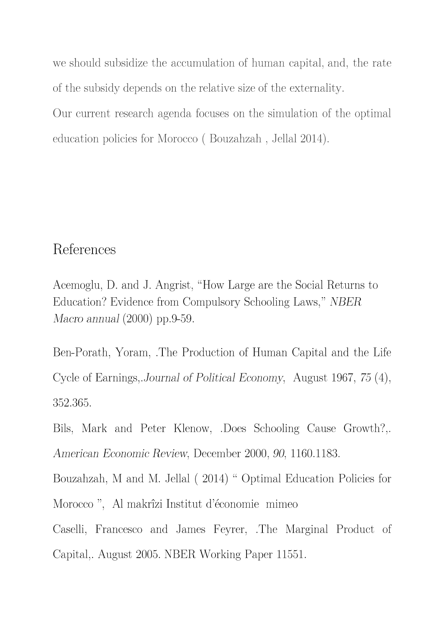we should subsidize the accumulation of human capital, and, the rate of the subsidy depends on the relative size of the externality.

Our current research agenda focuses on the simulation of the optimal education policies for Morocco (Bouzahzah, Jellal 2014).

## References

Acemoglu, D. and J. Angrist, "How Large are the Social Returns to Education? Evidence from Compulsory Schooling Laws," NBER Macro annual  $(2000)$  pp.9-59.

Ben-Porath, Yoram, The Production of Human Capital and the Life Cycle of Earnings, Journal of Political Economy, August 1967, 75 (4), 352.365.

Bils, Mark and Peter Klenow, Does Schooling Cause Growth?.. American Economic Review, December 2000, 90, 1160.1183.

Bouzahzah, M and M. Jellal (2014) " Optimal Education Policies for Morocco", Al makrîzi Institut d'économie mimeo

Caselli, Francesco and James Feyrer, The Marginal Product of Capital, August 2005. NBER Working Paper 11551.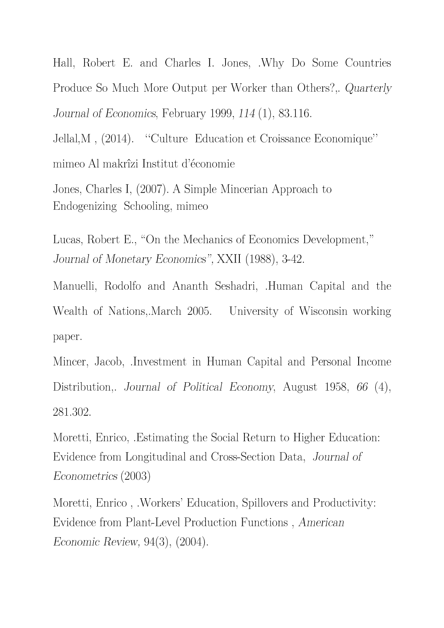Hall, Robert E. and Charles I. Jones, .Why Do Some Countries Produce So Much More Output per Worker than Others?, Quarterly Journal of Economics, February 1999, 114 (1), 83.116.

Jellal, M, (2014). "Culture Education et Croissance Economique" mimeo Al makrîzi Institut d'économie

Jones, Charles I, (2007). A Simple Mincerian Approach to Endogenizing Schooling, mimeo

Lucas, Robert E., "On the Mechanics of Economics Development," Journal of Monetary Economics", XXII (1988), 3-42.

Manuelli, Rodolfo and Ananth Seshadri, .Human Capital and the Wealth of Nations, March 2005. University of Wisconsin working paper.

Mincer, Jacob, Investment in Human Capital and Personal Income Distribution, Journal of Political Economy, August 1958, 66 (4), 281.302.

Moretti, Enrico, Estimating the Social Return to Higher Education: Evidence from Longitudinal and Cross-Section Data, Journal of *Econometrics* (2003)

Moretti, Enrico, Workers' Education, Spillovers and Productivity: Evidence from Plant-Level Production Functions, American *Economic Review, 94(3), (2004).*